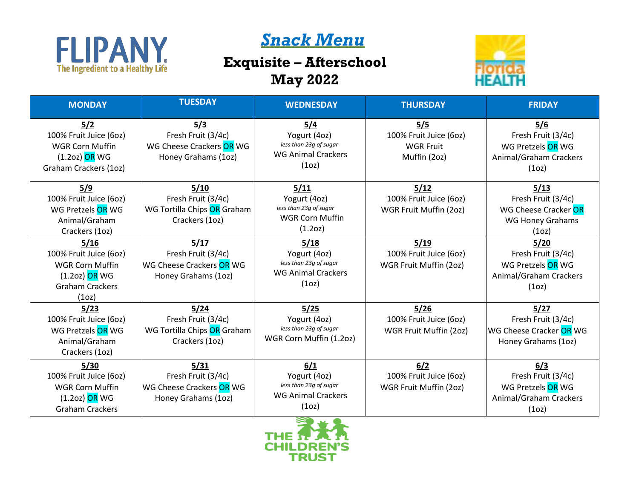

## *Snack Menu*

## **Exquisite – Afterschool May 2022**



| <b>MONDAY</b>                                                                                                              | <b>TUESDAY</b>                                                                | <b>WEDNESDAY</b>                                                                                 | <b>THURSDAY</b>                                                   | <b>FRIDAY</b>                                                                                      |
|----------------------------------------------------------------------------------------------------------------------------|-------------------------------------------------------------------------------|--------------------------------------------------------------------------------------------------|-------------------------------------------------------------------|----------------------------------------------------------------------------------------------------|
| 5/2<br>100% Fruit Juice (6oz)<br><b>WGR Corn Muffin</b><br>$(1.2oz)$ OR WG<br>Graham Crackers (1oz)                        | 5/3<br>Fresh Fruit (3/4c)<br>WG Cheese Crackers OR WG<br>Honey Grahams (1oz)  | 5/4<br>Yogurt (4oz)<br>less than 23g of sugar<br><b>WG Animal Crackers</b><br>(1 <sub>O</sub> )  | 5/5<br>100% Fruit Juice (6oz)<br><b>WGR Fruit</b><br>Muffin (2oz) | 5/6<br>Fresh Fruit (3/4c)<br>WG Pretzels OR WG<br>Animal/Graham Crackers<br>(1 <sub>O</sub> )      |
| 5/9<br>100% Fruit Juice (6oz)<br>WG Pretzels OR WG<br>Animal/Graham<br>Crackers (1oz)                                      | 5/10<br>Fresh Fruit (3/4c)<br>WG Tortilla Chips OR Graham<br>Crackers (1oz)   | 5/11<br>Yogurt (4oz)<br>less than 23g of sugar<br><b>WGR Corn Muffin</b><br>(1.2oz)              | 5/12<br>100% Fruit Juice (6oz)<br>WGR Fruit Muffin (2oz)          | 5/13<br>Fresh Fruit (3/4c)<br>WG Cheese Cracker OR<br><b>WG Honey Grahams</b><br>(1 <sub>O</sub> ) |
| 5/16<br>100% Fruit Juice (6oz)<br><b>WGR Corn Muffin</b><br>$(1.2oz)$ OR WG<br><b>Graham Crackers</b><br>(1 <sub>O</sub> ) | 5/17<br>Fresh Fruit (3/4c)<br>WG Cheese Crackers OR WG<br>Honey Grahams (1oz) | 5/18<br>Yogurt (4oz)<br>less than 23g of sugar<br><b>WG Animal Crackers</b><br>(1 <sub>O</sub> ) | 5/19<br>100% Fruit Juice (6oz)<br>WGR Fruit Muffin (2oz)          | 5/20<br>Fresh Fruit (3/4c)<br>WG Pretzels OR WG<br>Animal/Graham Crackers<br>(1 <sub>O</sub> )     |
| 5/23<br>100% Fruit Juice (6oz)<br>WG Pretzels OR WG<br>Animal/Graham<br>Crackers (1oz)                                     | 5/24<br>Fresh Fruit (3/4c)<br>WG Tortilla Chips OR Graham<br>Crackers (1oz)   | 5/25<br>Yogurt (4oz)<br>less than 23g of sugar<br>WGR Corn Muffin (1.2oz)                        | 5/26<br>100% Fruit Juice (6oz)<br>WGR Fruit Muffin (2oz)          | 5/27<br>Fresh Fruit (3/4c)<br>WG Cheese Cracker OR WG<br>Honey Grahams (1oz)                       |
| 5/30<br>100% Fruit Juice (6oz)<br><b>WGR Corn Muffin</b><br>$(1.2oz)$ OR WG<br><b>Graham Crackers</b>                      | 5/31<br>Fresh Fruit (3/4c)<br>WG Cheese Crackers OR WG<br>Honey Grahams (1oz) | 6/1<br>Yogurt (4oz)<br>less than 23g of sugar<br><b>WG Animal Crackers</b><br>(1 <sub>O</sub> )  | 6/2<br>100% Fruit Juice (6oz)<br>WGR Fruit Muffin (2oz)           | 6/3<br>Fresh Fruit (3/4c)<br>WG Pretzels OR WG<br>Animal/Graham Crackers<br>(1oz)                  |